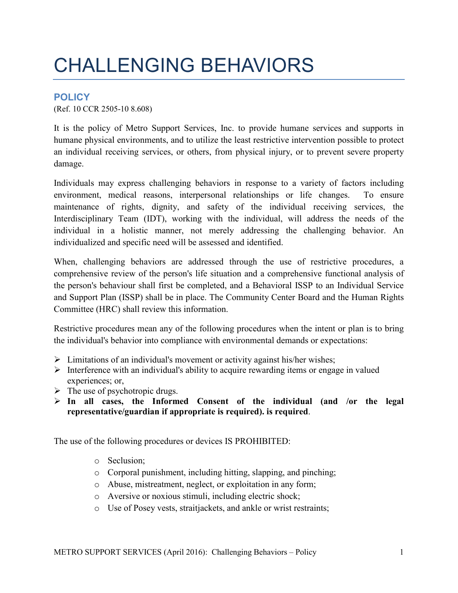## CHALLENGING BEHAVIORS

## **POLICY**

(Ref. 10 CCR 2505-10 8.608)

It is the policy of Metro Support Services, Inc. to provide humane services and supports in humane physical environments, and to utilize the least restrictive intervention possible to protect an individual receiving services, or others, from physical injury, or to prevent severe property damage.

Individuals may express challenging behaviors in response to a variety of factors including environment, medical reasons, interpersonal relationships or life changes. To ensure maintenance of rights, dignity, and safety of the individual receiving services, the Interdisciplinary Team (IDT), working with the individual, will address the needs of the individual in a holistic manner, not merely addressing the challenging behavior. An individualized and specific need will be assessed and identified.

When, challenging behaviors are addressed through the use of restrictive procedures, a comprehensive review of the person's life situation and a comprehensive functional analysis of the person's behaviour shall first be completed, and a Behavioral ISSP to an Individual Service and Support Plan (ISSP) shall be in place. The Community Center Board and the Human Rights Committee (HRC) shall review this information.

Restrictive procedures mean any of the following procedures when the intent or plan is to bring the individual's behavior into compliance with environmental demands or expectations:

- $\triangleright$  Limitations of an individual's movement or activity against his/her wishes;
- $\triangleright$  Interference with an individual's ability to acquire rewarding items or engage in valued experiences; or,
- $\triangleright$  The use of psychotropic drugs.
- **In all cases, the Informed Consent of the individual (and /or the legal representative/guardian if appropriate is required). is required**.

The use of the following procedures or devices IS PROHIBITED:

- o Seclusion;
- o Corporal punishment, including hitting, slapping, and pinching;
- o Abuse, mistreatment, neglect, or exploitation in any form;
- o Aversive or noxious stimuli, including electric shock;
- o Use of Posey vests, straitjackets, and ankle or wrist restraints;